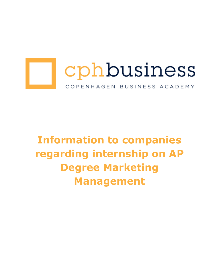

# **Information to companies regarding internship on AP Degree Marketing Management**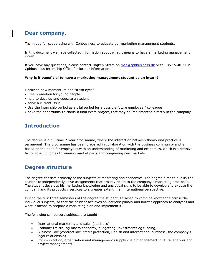## **Dear company,**

Thank you for cooperating with Cphbusiness to educate our marketing management students.

In this document we have collected information about what it means to have a marketing management intern.

If you have any questions, please contact Majken Strøm on [mse@cphbusiness.dk](mailto:mse@cphbusiness.dk) or tel: 36 15 48 31 in Cphbusiness Internship Office for further information.

#### **Why is it beneficial to have a marketing management student as an intern?**

- provide new momentum and "fresh eyes"
- Free promotion for young people
- help to develop and educate a student
- solve a current issue
- Use the internship period as a trial period for a possible future employee / colleague
- have the opportunity to clarify a final exam project, that may be implemented directly in the company

#### **Introduction**

The degree is a full-time 2-year programme, where the interaction between theory and practice is paramount. The programme has been prepared in collaboration with the business community and is based on the need for employees with an understanding of marketing and economics, which is a decisive factor when it comes to winning market parts and conquering new markets.

#### **Degree structure**

The degree consists primarily of the subjects of marketing and economics. The degree aims to qualify the student to independently solve assignments that broadly relate to the company's marketing processes. The student develops his marketing knowledge and analytical skills to be able to develop and expose the company and its products / services to a greater extent in an international perspective.

During the first three semesters of the degree the student is trained to combine knowledge across the individual subjects, so that the student achieves an interdisciplinary and holistic approach to analyses and what it means to prepare a marketing plan and implement it.

The following compulsory subjects are taught:

- International marketing and sales (statistics)
- Economy (micro- og macro economy, budgetting, investments og funding)
- Business Law (contract law, credit protection, Danish and international purchase, the company's legal relationship)
- Communication, organisation and management (supply chain management, cultural analysis and project management)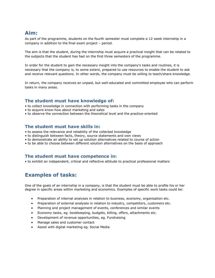## **Aim:**

As part of the programme, students on the fourth semester must complete a 12 week internship in a company in addition to the final exam project – period.

The aim is that the student, during the internship must acquire a practical insight that can be related to the subjects that the student has had on the first three semesters of the programme.

In order for the student to gain the necessary insight into the company's tasks and routines, it is necessary that the company is, to some extent, prepared to use resources to enable the student to ask and receive relevant questions. In other words, the company must be willing to teach/share knowledge.

In return, the company receives an unpaid, but well-educated and committed employee who can perform tasks in many areas.

#### **The student must have knowledge of:**

- to collect knowledge in connection with performing tasks in the company
- to acquire know-how about marketing and sales
- to observe the connection between the theoretical level and the practice-oriented

#### **The student must have skills in:**

- to assess the relevance and reliability of the collected knowledge
- to distinguish between facts, theory, source statements and own views
- to demonstrate an ability to set up solution alternatives related to course of action
- to be able to choose between different solution alternatives on the basis of approach

#### **The student must have competence in:**

• to exhibit an independent, critical and reflective attitude to practical professional matters

## **Examples of tasks:**

One of the goals of an internship in a company, is that the student must be able to profile his or her degree in specific areas within marketing and economics. Examples of specific work tasks could be:

- Preparation of internal analyses in relation to business, economy, organisation etc.
- Preparation of external analyses in relation to industry, competitors, customers etc.
- Planning and project management of events, conferences and similar events
- Economy tasks, eg. bookkeeping, budgets, billing, offers, attachments etc.
- Development of revenue opportunities, eg. Fundraising
- Manage sales and customer contact
- Assist with digital marketing eg. Social Media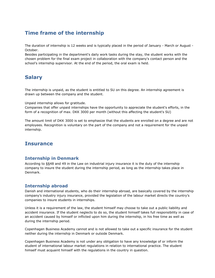# **Time frame of the internship**

The duration of internship is 12 weeks and is typically placed in the period of January - March or August - October.

Besides participating in the department's daily work tasks during the stay, the student works with the chosen problem for the final exam project in collaboration with the company's contact person and the school's internship supervisor. At the end of the period, the oral exam is held.

## **Salary**

The internship is unpaid, as the student is entitled to SU on this degree. An internship agreement is drawn up between the company and the student.

Unpaid internship allows for gratitude.

Companies that offer unpaid internships have the opportunity to appreciate the student's efforts, in the form of a recognition of max. DKK 3000 per month (without this affecting the student's SU)

The amount limit of DKK 3000 is set to emphasize that the students are enrolled on a degree and are not employees. Recognition is voluntary on the part of the company and not a requirement for the unpaid internship.

## **Insurance**

#### **Internship in Denmark**

According to §§48 and 49 in the Law on industrial injury insurance it is the duty of the internship company to insure the student during the internship period, as long as the internship takes place in Denmark.

#### **Internship abroad**

Danish and international students, who do their internship abroad, are basically covered by the internship company's industry injury insurance, provided the legislation of the labour market directs the country's companies to insure students in internships.

Unless it is a requirement of the law, the student himself may choose to take out a public liability and accident insurance. If the student neglects to do so, the student himself takes full responsibility in case of an accident caused by himself or inflicted upon him during the internship, in his free time as well as during the internship period.

Copenhagen Business Academy cannot and is not allowed to take out a specific insurance for the student neither during the internship in Denmark or outside Denmark.

Copenhagen Business Academy is not under any obligation to have any knowledge of or inform the student of international labour market regulations in relation to international practice. The student himself must acquaint himself with the regulations in the country in question.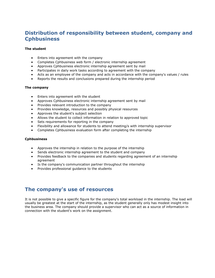# **Distribution of responsibility between student, company and Cphbusiness**

#### **The student**

- Enters into agreement with the company
- Completes Cphbusiness web form / electronic internship agreement
- Approves Cphbusiness electronic internship agreement sent by mail
- Participates in daily work tasks according to agreement with the company
- Acts as an employee of the company and acts in accordance with the company's values / rules
- Reports the results and conclusions prepared during the internship period

#### **The company**

- Enters into agreement with the student
- Approves Cphbusiness electronic internship agreement sent by mail
- Provides relevant introduction to the company
- Provides knowledge, resources and possibly physical resources
- Approves the student's subject selection
- Allows the student to collect information in relation to approved topic
- Sets requirements for reporting in the company
- Flexibility and allowance for students to attend meeting/s with internship supervisor
- Completes Cphbusiness evaluation form after completing the internship

#### **Cphbusiness**

- Approves the internship in relation to the purpose of the internship
- Sends electronic internship agreement to the student and company
- Provides feedback to the companies and students regarding agreement of an internship agreement
- Is the company's communication partner throughout the internship
- Provides professional guidance to the students

## **The company's use of resources**

It is not possible to give a specific figure for the company's total workload in the internship. The load will usually be greatest at the start of the internship, as the student generally only has modest insight into the business area. The company should provide a supervisor who can act as a source of information in connection with the student's work on the assignment.